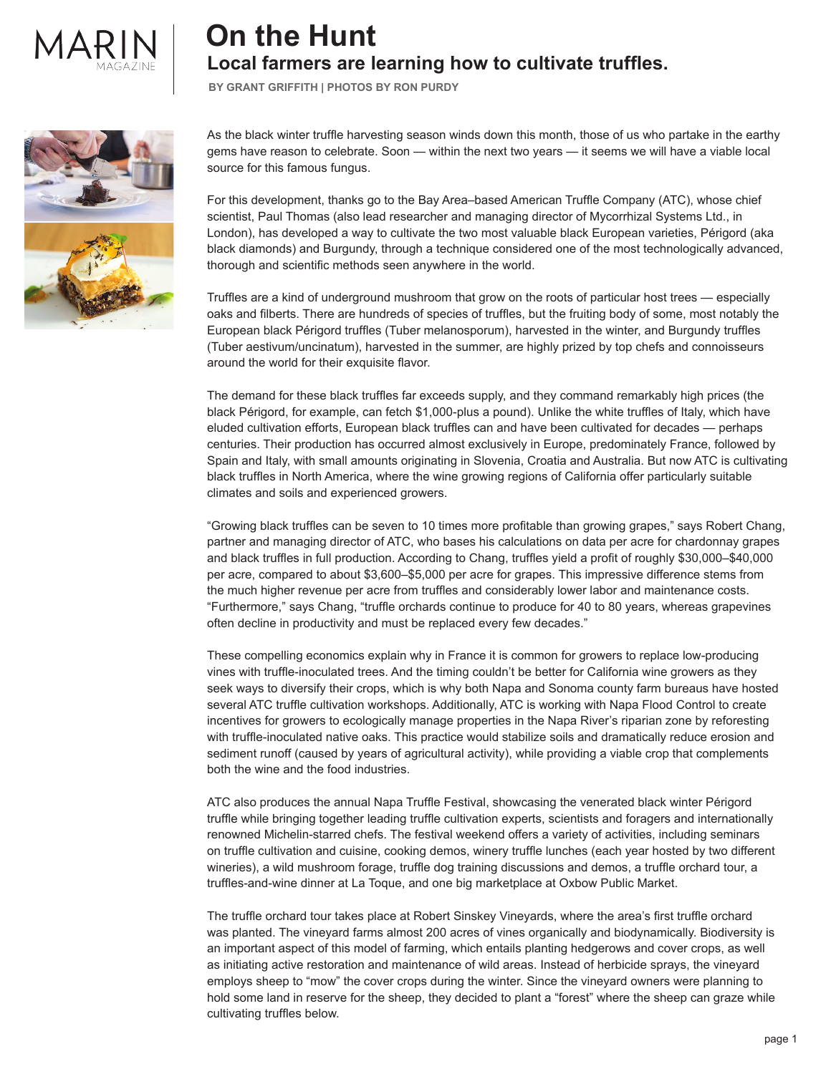

## **On the Hunt Local farmers are learning how to cultivate truffles.**

**BY GRANT GRIFFITH | PHOTOS BY RON PURDY**



As the black winter truffle harvesting season winds down this month, those of us who partake in the earthy gems have reason to celebrate. Soon — within the next two years — it seems we will have a viable local source for this famous fungus.

For this development, thanks go to the Bay Area–based American Truffle Company (ATC), whose chief scientist, Paul Thomas (also lead researcher and managing director of Mycorrhizal Systems Ltd., in London), has developed a way to cultivate the two most valuable black European varieties, Périgord (aka black diamonds) and Burgundy, through a technique considered one of the most technologically advanced, thorough and scientific methods seen anywhere in the world.

Truffles are a kind of underground mushroom that grow on the roots of particular host trees — especially oaks and filberts. There are hundreds of species of truffles, but the fruiting body of some, most notably the European black Périgord truffles (Tuber melanosporum), harvested in the winter, and Burgundy truffles (Tuber aestivum/uncinatum), harvested in the summer, are highly prized by top chefs and connoisseurs around the world for their exquisite flavor.

The demand for these black truffles far exceeds supply, and they command remarkably high prices (the black Périgord, for example, can fetch \$1,000-plus a pound). Unlike the white truffles of Italy, which have eluded cultivation efforts, European black truffles can and have been cultivated for decades — perhaps centuries. Their production has occurred almost exclusively in Europe, predominately France, followed by Spain and Italy, with small amounts originating in Slovenia, Croatia and Australia. But now ATC is cultivating black truffles in North America, where the wine growing regions of California offer particularly suitable climates and soils and experienced growers.

"Growing black truffles can be seven to 10 times more profitable than growing grapes," says Robert Chang, partner and managing director of ATC, who bases his calculations on data per acre for chardonnay grapes and black truffles in full production. According to Chang, truffles yield a profit of roughly \$30,000–\$40,000 per acre, compared to about \$3,600–\$5,000 per acre for grapes. This impressive difference stems from the much higher revenue per acre from truffles and considerably lower labor and maintenance costs. "Furthermore," says Chang, "truffle orchards continue to produce for 40 to 80 years, whereas grapevines often decline in productivity and must be replaced every few decades."

These compelling economics explain why in France it is common for growers to replace low-producing vines with truffle-inoculated trees. And the timing couldn't be better for California wine growers as they seek ways to diversify their crops, which is why both Napa and Sonoma county farm bureaus have hosted several ATC truffle cultivation workshops. Additionally, ATC is working with Napa Flood Control to create incentives for growers to ecologically manage properties in the Napa River's riparian zone by reforesting with truffle-inoculated native oaks. This practice would stabilize soils and dramatically reduce erosion and sediment runoff (caused by years of agricultural activity), while providing a viable crop that complements both the wine and the food industries.

ATC also produces the annual Napa Truffle Festival, showcasing the venerated black winter Périgord truffle while bringing together leading truffle cultivation experts, scientists and foragers and internationally renowned Michelin-starred chefs. The festival weekend offers a variety of activities, including seminars on truffle cultivation and cuisine, cooking demos, winery truffle lunches (each year hosted by two different wineries), a wild mushroom forage, truffle dog training discussions and demos, a truffle orchard tour, a truffles-and-wine dinner at La Toque, and one big marketplace at Oxbow Public Market.

The truffle orchard tour takes place at Robert Sinskey Vineyards, where the area's first truffle orchard was planted. The vineyard farms almost 200 acres of vines organically and biodynamically. Biodiversity is an important aspect of this model of farming, which entails planting hedgerows and cover crops, as well as initiating active restoration and maintenance of wild areas. Instead of herbicide sprays, the vineyard employs sheep to "mow" the cover crops during the winter. Since the vineyard owners were planning to hold some land in reserve for the sheep, they decided to plant a "forest" where the sheep can graze while cultivating truffles below.